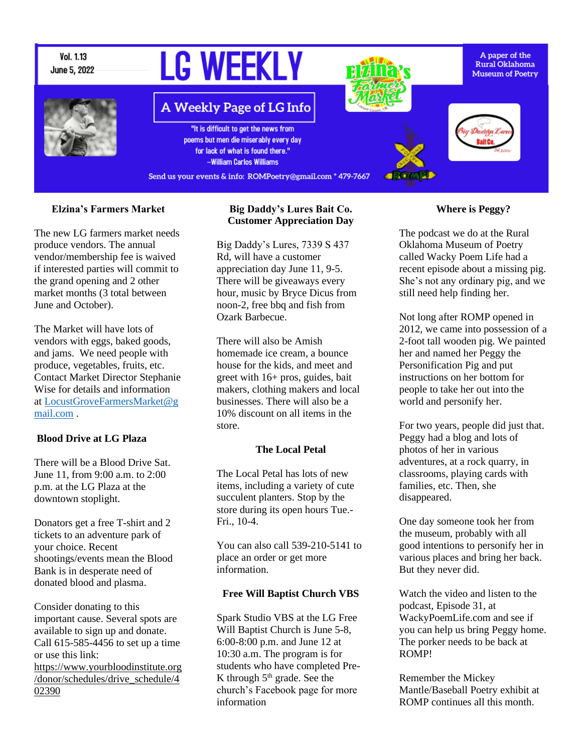

### **Elzina's Farmers Market**

The new LG farmers market needs produce vendors. The annual vendor/membership fee is waived if interested parties will commit to the grand opening and 2 other market months (3 total between June and October).

The Market will have lots of vendors with eggs, baked goods, and jams. We need people with produce, vegetables, fruits, etc. Contact Market Director Stephanie Wise for details and information at [LocustGroveFarmersMarket@g](mailto:LocustGroveFarmersMarket@gmail.com) [mail.com](mailto:LocustGroveFarmersMarket@gmail.com) .

#### **Blood Drive at LG Plaza**

There will be a Blood Drive Sat. June 11, from 9:00 a.m. to 2:00 p.m. at the LG Plaza at the downtown stoplight.

Donators get a free T-shirt and 2 tickets to an adventure park of your choice. Recent shootings/events mean the Blood Bank is in desperate need of donated blood and plasma.

Consider donating to this important cause. Several spots are available to sign up and donate. Call 615-585-4456 to set up a time or use this link: [https://www.yourbloodinstitute.org](https://www.yourbloodinstitute.org/donor/schedules/drive_schedule/402390) [/donor/schedules/drive\\_schedule/4](https://www.yourbloodinstitute.org/donor/schedules/drive_schedule/402390) [02390](https://www.yourbloodinstitute.org/donor/schedules/drive_schedule/402390)

### **Big Daddy's Lures Bait Co. Customer Appreciation Day**

Big Daddy's Lures, 7339 S 437 Rd, will have a customer appreciation day June 11, 9-5. There will be giveaways every hour, music by Bryce Dicus from noon-2, free bbq and fish from Ozark Barbecue.

There will also be Amish homemade ice cream, a bounce house for the kids, and meet and greet with 16+ pros, guides, bait makers, clothing makers and local businesses. There will also be a 10% discount on all items in the store.

#### **The Local Petal**

The Local Petal has lots of new items, including a variety of cute succulent planters. Stop by the store during its open hours Tue.- Fri., 10-4.

You can also call 539-210-5141 to place an order or get more information.

#### **Free Will Baptist Church VBS**

Spark Studio VBS at the LG Free Will Baptist Church is June 5-8, 6:00-8:00 p.m. and June 12 at 10:30 a.m. The program is for students who have completed Pre-K through  $5<sup>th</sup>$  grade. See the church's Facebook page for more information

#### **Where is Peggy?**

The podcast we do at the Rural Oklahoma Museum of Poetry called Wacky Poem Life had a recent episode about a missing pig. She's not any ordinary pig, and we still need help finding her.

Not long after ROMP opened in 2012, we came into possession of a 2-foot tall wooden pig. We painted her and named her Peggy the Personification Pig and put instructions on her bottom for people to take her out into the world and personify her.

For two years, people did just that. Peggy had a blog and lots of photos of her in various adventures, at a rock quarry, in classrooms, playing cards with families, etc. Then, she disappeared.

One day someone took her from the museum, probably with all good intentions to personify her in various places and bring her back. But they never did.

Watch the video and listen to the podcast, Episode 31, at WackyPoemLife.com and see if you can help us bring Peggy home. The porker needs to be back at ROMP!

Remember the Mickey Mantle/Baseball Poetry exhibit at ROMP continues all this month.